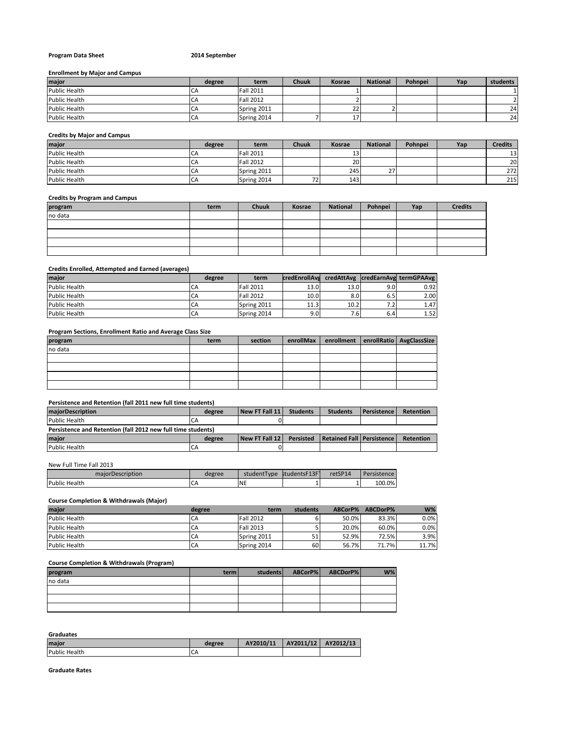### **Program Data Sheet 2014 September**

#### **Enrollment by Major and Campus**

| major                | degree | term             | Chuuk | Kosrae | <b>National</b> | Pohnpei | Yap | students |
|----------------------|--------|------------------|-------|--------|-----------------|---------|-----|----------|
| <b>Public Health</b> | CΑ     | <b>Fall 2011</b> |       |        |                 |         |     |          |
| <b>Public Health</b> | LА     | <b>Fall 2012</b> |       |        |                 |         |     |          |
| <b>Public Health</b> | СA     | Spring 2011      |       | 22     |                 |         |     | 24       |
| <b>Public Health</b> | LА     | Spring 2014      |       |        |                 |         |     | 241      |

# **Credits by Major and Campus**

| major                | degree | term             | Chuuk | <b>Kosrae</b> | <b>National</b> | Pohnpei | Yap | <b>Credits</b> |
|----------------------|--------|------------------|-------|---------------|-----------------|---------|-----|----------------|
| <b>Public Health</b> | CΑ     | <b>Fall 2011</b> |       | 13'           |                 |         |     | 13             |
| <b>Public Health</b> | CΑ     | <b>Fall 2012</b> |       | <b>20</b>     |                 |         |     | 20             |
| <b>Public Health</b> | СA     | Spring 2011      |       | 245           | $\sim$          |         |     | 272            |
| <b>Public Health</b> | СA     | Spring 2014      | 72    | 143           |                 |         |     | 215            |

### **Credits by Program and Campus**

| program | term | <b>Chuuk</b> | Kosrae | National | Pohnpei | Yap | <b>Credits</b> |
|---------|------|--------------|--------|----------|---------|-----|----------------|
| no data |      |              |        |          |         |     |                |
|         |      |              |        |          |         |     |                |
|         |      |              |        |          |         |     |                |
|         |      |              |        |          |         |     |                |
|         |      |              |        |          |         |     |                |
|         |      |              |        |          |         |     |                |

### **Credits Enrolled, Attempted and Earned (averages)**

| major         | degree | term             | credEnrollAvd     |                  |     | credAttAvg  credEarnAvg termGPAAvg |
|---------------|--------|------------------|-------------------|------------------|-----|------------------------------------|
| Public Health | CA     | <b>Fall 2011</b> | 13.0              | 13.0             | 9.0 | 0.92                               |
| Public Health | CA     | <b>Fall 2012</b> | 10.0              | 8.0 <sub>l</sub> | 6.5 | 2.00                               |
| Public Health | CA     | Spring 2011      | 11.3 <sub>1</sub> | 10.2             | 7.2 | 1.47                               |
| Public Health | CA     | Spring 2014      | 9.OI              | 7.61             | 6.4 | 1.52                               |

# **Program Sections, Enrollment Ratio and Average Class Size**

| program | term | section | enrollMax enrollment enrollRatio AvgClassSize |  |
|---------|------|---------|-----------------------------------------------|--|
| no data |      |         |                                               |  |
|         |      |         |                                               |  |
|         |      |         |                                               |  |
|         |      |         |                                               |  |
|         |      |         |                                               |  |

# **Persistence and Retention (fall 2011 new full time students)**

| maiorDescription                                             | degree | New FT Fall 11 | <b>Students</b> | <b>Students</b>             | Persistence I | <b>Retention</b> |
|--------------------------------------------------------------|--------|----------------|-----------------|-----------------------------|---------------|------------------|
| Public Health                                                | CA     |                |                 |                             |               |                  |
| Persistence and Retention (fall 2012 new full time students) |        |                |                 |                             |               |                  |
| <b>Imaior</b>                                                | degree | New FT Fall 12 | Persisted       | Retained Fall   Persistence |               | <b>Retention</b> |
| <b>Public Health</b>                                         | CA     |                |                 |                             |               |                  |

# New Full Time Fall 2013

| maiorDescription | degree | studentTvpe | studentsF13F1 | retSP14 | Dor<br>istence |
|------------------|--------|-------------|---------------|---------|----------------|
| Public<br>Health | ີ      | <b>NE</b>   |               | -       | 100.0%         |
|                  |        |             |               |         |                |

# **Course Completion & Withdrawals (Major)**

| major                | degree | term             | students | ABCorP% | ABCDorP% | $W\%$ |
|----------------------|--------|------------------|----------|---------|----------|-------|
| <b>Public Health</b> | CA     | <b>Fall 2012</b> |          | 50.0%   | 83.3%    | 0.0%  |
| <b>Public Health</b> | CA     | <b>Fall 2013</b> |          | 20.0%   | 60.0%    | 0.0%  |
| <b>Public Health</b> | CA     | Spring 2011      | 51       | 52.9%   | 72.5%    | 3.9%  |
| <b>Public Health</b> | CA     | Spring 2014      | 60       | 56.7%   | 71.7%    | 11.7% |

#### **Course Completion & Withdrawals (Program)**

| program | terml | students | ABCorP% | ABCDorP% | $W\%$ |
|---------|-------|----------|---------|----------|-------|
| no data |       |          |         |          |       |
|         |       |          |         |          |       |
|         |       |          |         |          |       |
|         |       |          |         |          |       |

**Graduates**

| maior                | degree | AY2010/11 | AY2011/12   AY2012/13 |  |
|----------------------|--------|-----------|-----------------------|--|
| <b>Public Health</b> | ∽      |           |                       |  |

**Graduate Rates**